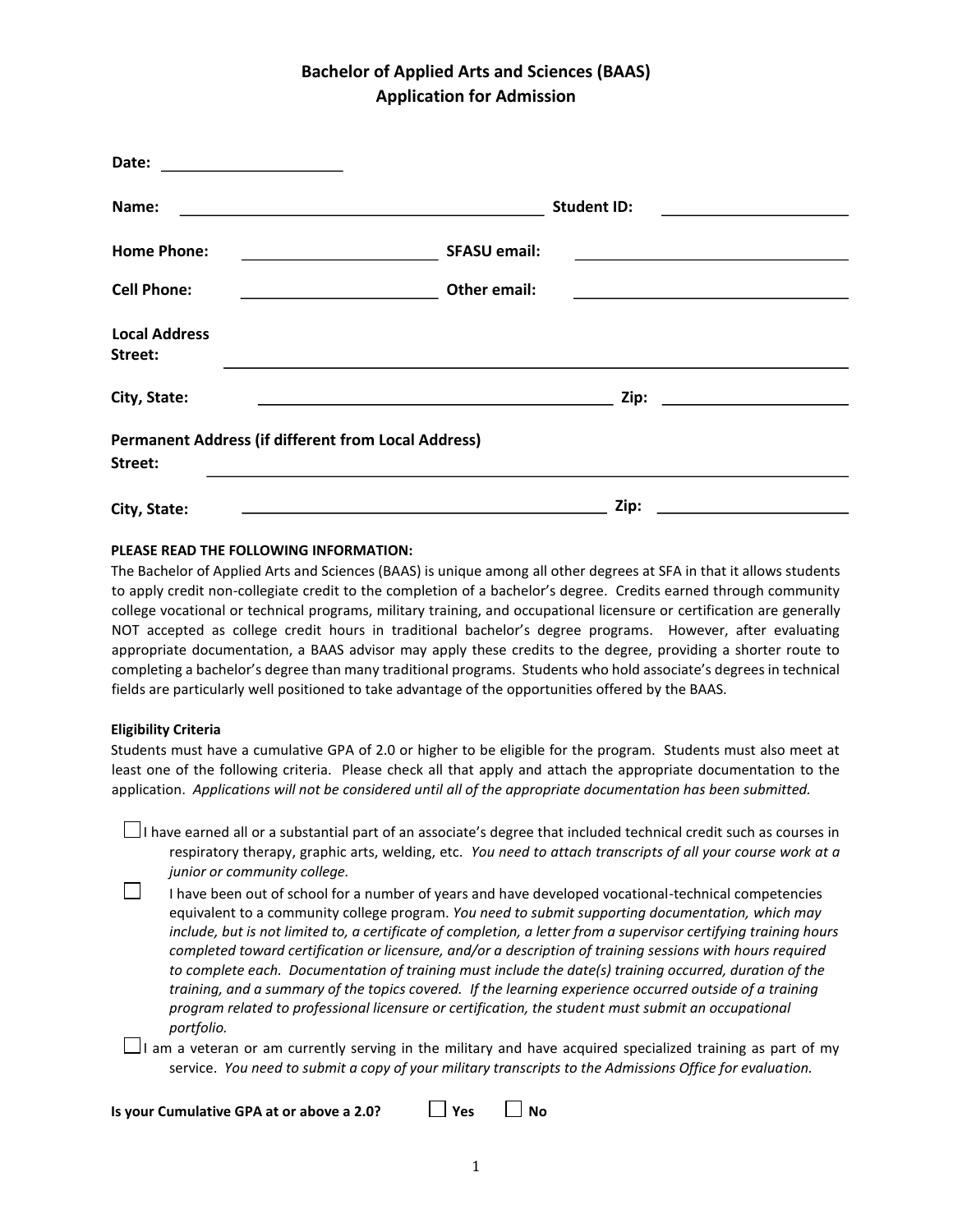## **Bachelor of Applied Arts and Sciences (BAAS) Application for Admission**

| Date:<br><u> 1990 - Johann Barbara, martin a</u>                      |                                                                                                                                |                                                   |  |
|-----------------------------------------------------------------------|--------------------------------------------------------------------------------------------------------------------------------|---------------------------------------------------|--|
| Name:                                                                 | <b>Student ID:</b>                                                                                                             |                                                   |  |
| <b>Home Phone:</b>                                                    | <b>SFASU email:</b>                                                                                                            |                                                   |  |
| <b>Cell Phone:</b>                                                    | Other email:                                                                                                                   |                                                   |  |
| <b>Local Address</b><br>Street:                                       |                                                                                                                                |                                                   |  |
| City, State:                                                          | Zip:                                                                                                                           | <u> 1989 - Andrea State Barbara, amerikan per</u> |  |
| <b>Permanent Address (if different from Local Address)</b><br>Street: |                                                                                                                                |                                                   |  |
| City, State:                                                          | Zip:<br><u> 2008 - Johann Stoff, deutscher Stoffen und der Stoffen und der Stoffen und der Stoffen und der Stoffen und der</u> |                                                   |  |

**PLEASE READ THE FOLLOWING INFORMATION:** 

The Bachelor of Applied Arts and Sciences (BAAS) is unique among all other degrees at SFA in that it allows students to apply credit non-collegiate credit to the completion of a bachelor's degree. Credits earned through community college vocational or technical programs, military training, and occupational licensure or certification are generally NOT accepted as college credit hours in traditional bachelor's degree programs. However, after evaluating appropriate documentation, a BAAS advisor may apply these credits to the degree, providing a shorter route to completing a bachelor's degree than many traditional programs. Students who hold associate's degrees in technical fields are particularly well positioned to take advantage of the opportunities offered by the BAAS.

## **Eligibility Criteria**

Students must have a cumulative GPA of 2.0 or higher to be eligible for the program. Students must also meet at least one of the following criteria. Please check all that apply and attach the appropriate documentation to the application. *Applications will not be considered until all of the appropriate documentation has been submitted.*

 $\Box$ I have earned all or a substantial part of an associate's degree that included technical credit such as courses in respiratory therapy, graphic arts, welding, etc. *You need to attach transcripts of all your course work at a junior or community college.* 

 $\Box$ I have been out of school for a number of years and have developed vocational-technical competencies equivalent to a community college program. *You need to submit supporting documentation, which may include, but is not limited to, a certificate of completion, a letter from a supervisor certifying training hours completed toward certification or licensure, and/or a description of training sessions with hours required to complete each. Documentation of training must include the date(s) training occurred, duration of the training, and a summary of the topics covered. If the learning experience occurred outside of a training program related to professional licensure or certification, the student must submit an occupational portfolio.*

 $\Box$ I am a veteran or am currently serving in the military and have acquired specialized training as part of my service. *You need to submit a copy of your military transcripts to the Admissions Office for evaluation.*

**Is your Cumulative GPA at or above a 2.0?**  $\Box$  Yes  $\Box$  No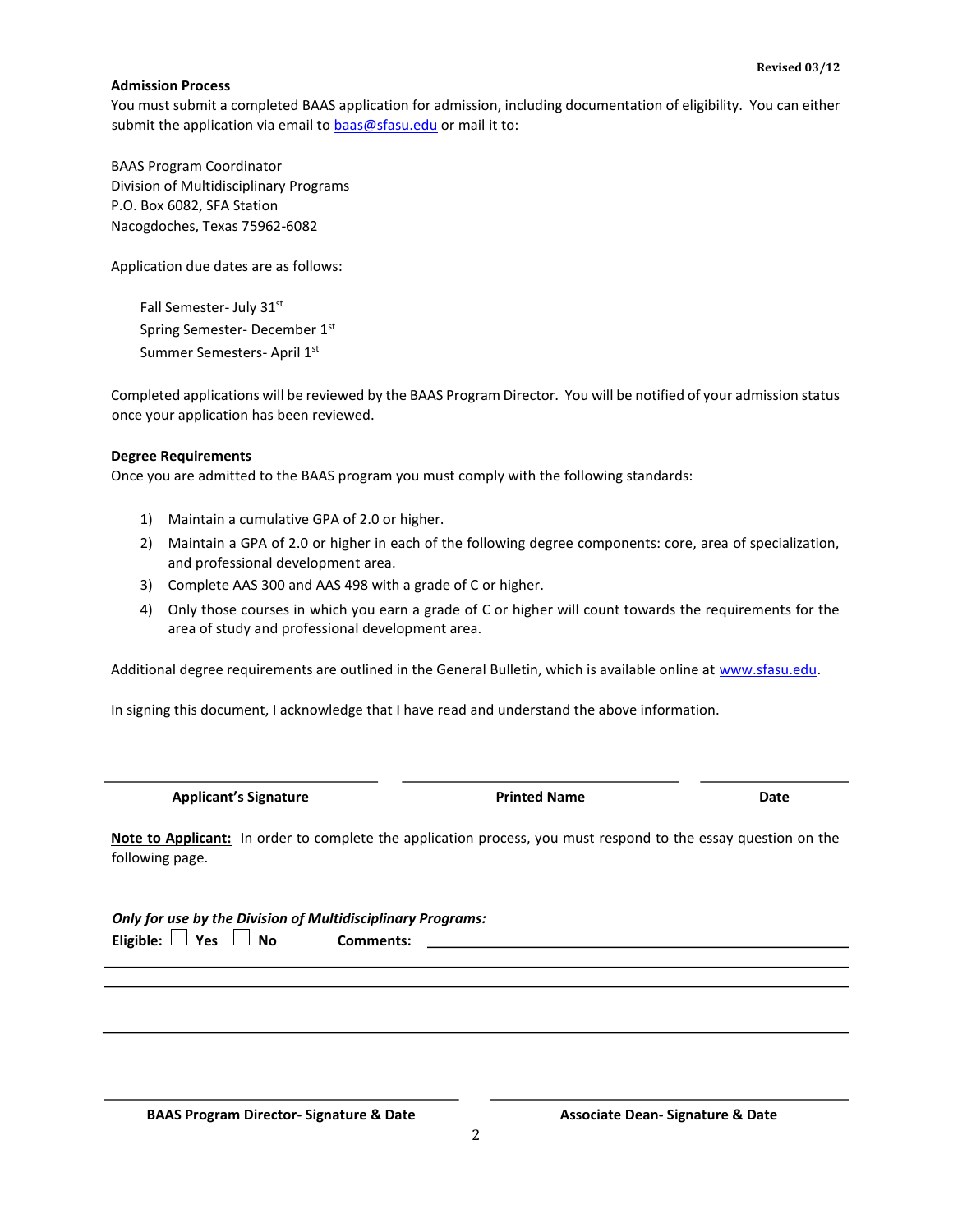## **Admission Process**

You must submit a completed BAAS application for admission, including documentation of eligibility. You can either submit the application via email to **baas@sfasu.edu** or mail it to:

BAAS Program Coordinator Division of Multidisciplinary Programs P.O. Box 6082, SFA Station Nacogdoches, Texas 75962-6082

Application due dates are as follows:

Fall Semester- July 31st Spring Semester- December 1st Summer Semesters- April 1st

Completed applications will be reviewed by the BAAS Program Director. You will be notified of your admission status once your application has been reviewed.

## **Degree Requirements**

Once you are admitted to the BAAS program you must comply with the following standards:

- 1) Maintain a cumulative GPA of 2.0 or higher.
- 2) Maintain a GPA of 2.0 or higher in each of the following degree components: core, area of specialization, and professional development area.
- 3) Complete AAS 300 and AAS 498 with a grade of C or higher.
- 4) Only those courses in which you earn a grade of C or higher will count towards the requirements for the area of study and professional development area.

Additional degree requirements are outlined in the General Bulletin, which is available online at [www.sfasu.edu.](http://www.sfasu.edu/) 

In signing this document, I acknowledge that I have read and understand the above information.

|  | <b>Applicant's Signature</b> |
|--|------------------------------|
|  |                              |

**Printed Name Date Date Contract Printed Name Date Date Contract Printed Name Date Date Date American** 

**Note to Applicant:** In order to complete the application process, you must respond to the essay question on the following page.

|                                | Only for use by the Division of Multidisciplinary Programs: |
|--------------------------------|-------------------------------------------------------------|
| Eligible: $\Box$ Yes $\Box$ No | <b>Comments:</b>                                            |

**BAAS Program Director- Signature & Date Associate Dean- Signature & Date**